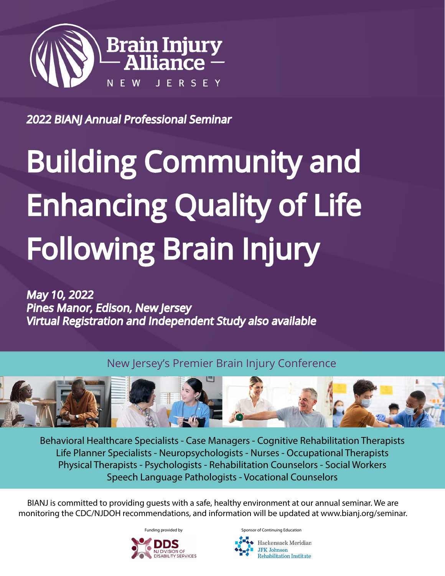

2022 BIANJ Annual Professional Seminar

# Building Community and Enhancing Quality of Life Following Brain Injury

May 10, 2022 Pines Manor, Edison, New Jersey Virtual Registration and Independent Study also available

New Jersey's Premier Brain Injury Conference



Behavioral Healthcare Specialists - Case Managers - Cognitive Rehabilitation Therapists Life Planner Specialists - Neuropsychologists - Nurses - Occupational Therapists Physical Therapists - Psychologists - Rehabilitation Counselors - Social Workers Speech Language Pathologists - Vocational Counselors

BIANJ is committed to providing guests with a safe, healthy environment at our annual seminar. We are monitoring the CDC/NJDOH recommendations, and information will be updated at [www.bianj.org/seminar](http://www.bianj.org/seminar).



Hackensack Meridian **JFK Johnson Rehabilitation Institute**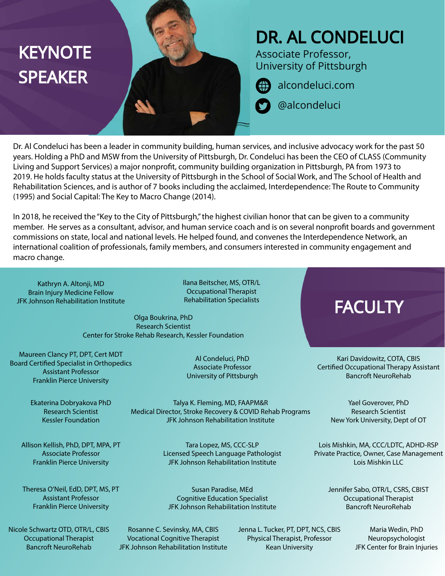# **KEYNOTE SPEAKER**

# DR. AL CONDELUCI

Associate Professor, University of Pittsburgh

[alcondeluci.com](http://alcondeluci.com)

@alcondeluci

Dr. Al Condeluci has been a leader in community building, human services, and inclusive advocacy work for the past 50 years. Holding a PhD and MSW from the University of Pittsburgh, Dr. Condeluci has been the CEO of CLASS (Community Living and Support Services) a major nonprofit, community building organization in Pittsburgh, PA from 1973 to 2019. He holds faculty status at the University of Pittsburgh in the School of Social Work, and The School of Health and Rehabilitation Sciences, and is author of 7 books including the acclaimed, Interdependence: The Route to Community (1995) and Social Capital: The Key to Macro Change (2014).

In 2018, he received the "Key to the City of Pittsburgh," the highest civilian honor that can be given to a community member. He serves as a consultant, advisor, and human service coach and is on several nonprofit boards and government commissions on state, local and national levels. He helped found, and convenes the Interdependence Network, an international coalition of professionals, family members, and consumers interested in community engagement and macro change.

Kathryn A. Altonji, MD Brain Injury Medicine Fellow JFK Johnson Rehabilitation Institute Ilana Beitscher, MS, OTR/L Occupational Therapist Rehabilitation Specialists

Al Condeluci, PhD Associate Professor University of Pittsburgh

Olga Boukrina, PhD Research Scientist Center for Stroke Rehab Research, Kessler Foundation

Maureen Clancy PT, DPT, Cert MDT Board Certified Specialist in Orthopedics Assistant Professor Franklin Pierce University

> Ekaterina Dobryakova PhD Research Scientist Kessler Foundation

Medical Director, Stroke Recovery & COVID Rehab Programs JFK Johnson Rehabilitation Institute

Talya K. Fleming, MD, FAAPM&R

Susan Paradise, MEd Cognitive Education Specialist

Tara Lopez, MS, CCC-SLP Licensed Speech Language Pathologist JFK Johnson Rehabilitation Institute

Allison Kellish, PhD, DPT, MPA, PT Associate Professor Franklin Pierce University

Theresa O'Neil, EdD, DPT, MS, PT Assistant Professor Franklin Pierce University

Nicole Schwartz OTD, OTR/L, CBIS Occupational Therapist Bancroft NeuroRehab

JFK Johnson Rehabilitation Institute Rosanne C. Sevinsky, MA, CBIS

Vocational Cognitive Therapist JFK Johnson Rehabilitation Institute Jenna L. Tucker, PT, DPT, NCS, CBIS Physical Therapist, Professor Kean University

**FACULTY** 

Kari Davidowitz, COTA, CBIS Certified Occupational Therapy Assistant Bancroft NeuroRehab

> Yael Goverover, PhD Research Scientist New York University, Dept of OT

Lois Mishkin, MA, CCC/LDTC, ADHD-RSP Private Practice, Owner, Case Management Lois Mishkin LLC

> Jennifer Sabo, OTR/L, CSRS, CBIST Occupational Therapist Bancroft NeuroRehab

> > Maria Wedin, PhD Neuropsychologist JFK Center for Brain Injuries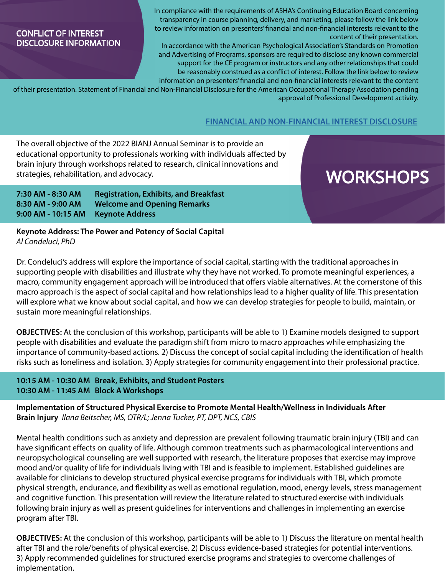#### CONFLICT OF INTEREST DISCLOSURE INFORMATION

In compliance with the requirements of ASHA's Continuing Education Board concerning transparency in course planning, delivery, and marketing, please follow the link below to review information on presenters' financial and non-financial interests relevant to the content of their presentation.

In accordance with the American Psychological Association's Standards on Promotion and Advertising of Programs, sponsors are required to disclose any known commercial support for the CE program or instructors and any other relationships that could be reasonably construed as a conflict of interest. Follow the link below to review information on presenters' financial and non-financial interests relevant to the content

of their presentation. Statement of Financial and Non-Financial Disclosure for the American Occupational Therapy Association pending approval of Professional Development activity.

#### **[FINANCIAL AND NON-FINANCIAL INTEREST DISCLOSURE](http://www.bianj.org/wp-content/uploads/Disclosure-for-Learners-040422.pdf)**

The overall objective of the 2022 BIANJ Annual Seminar is to provide an educational opportunity to professionals working with individuals affected by brain injury through workshops related to research, clinical innovations and strategies, rehabilitation, and advocacy.

## **WORKSHOPS**

**7:30 AM - 8:30 AM Registration, Exhibits, and Breakfast 8:30 AM - 9:00 AM Welcome and Opening Remarks 9:00 AM - 10:15 AM Keynote Address**

**Keynote Address: The Power and Potency of Social Capital** *Al Condeluci, PhD*

Dr. Condeluci's address will explore the importance of social capital, starting with the traditional approaches in supporting people with disabilities and illustrate why they have not worked. To promote meaningful experiences, a macro, community engagement approach will be introduced that offers viable alternatives. At the cornerstone of this macro approach is the aspect of social capital and how relationships lead to a higher quality of life. This presentation will explore what we know about social capital, and how we can develop strategies for people to build, maintain, or sustain more meaningful relationships.

**OBJECTIVES:** At the conclusion of this workshop, participants will be able to 1) Examine models designed to support people with disabilities and evaluate the paradigm shift from micro to macro approaches while emphasizing the importance of community-based actions. 2) Discuss the concept of social capital including the identification of health risks such as loneliness and isolation. 3) Apply strategies for community engagement into their professional practice.

#### **10:15 AM - 10:30 AM Break, Exhibits, and Student Posters 10:30 AM - 11:45 AM Block A Workshops**

**Implementation of Structured Physical Exercise to Promote Mental Health/Wellness in Individuals After Brain Injury** *Ilana Beitscher, MS, OTR/L; Jenna Tucker, PT, DPT, NCS, CBIS*

Mental health conditions such as anxiety and depression are prevalent following traumatic brain injury (TBI) and can have significant effects on quality of life. Although common treatments such as pharmacological interventions and neuropsychological counseling are well supported with research, the literature proposes that exercise may improve mood and/or quality of life for individuals living with TBI and is feasible to implement. Established guidelines are available for clinicians to develop structured physical exercise programs for individuals with TBI, which promote physical strength, endurance, and flexibility as well as emotional regulation, mood, energy levels, stress management and cognitive function. This presentation will review the literature related to structured exercise with individuals following brain injury as well as present guidelines for interventions and challenges in implementing an exercise program after TBI.

**OBJECTIVES:** At the conclusion of this workshop, participants will be able to 1) Discuss the literature on mental health after TBI and the role/benefits of physical exercise. 2) Discuss evidence-based strategies for potential interventions. 3) Apply recommended guidelines for structured exercise programs and strategies to overcome challenges of implementation.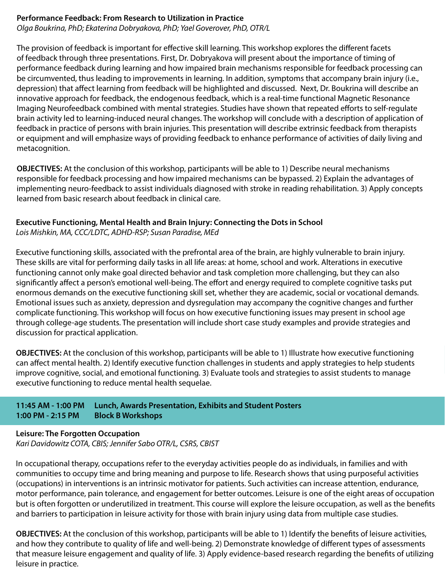#### **Performance Feedback: From Research to Utilization in Practice**

*Olga Boukrina, PhD; Ekaterina Dobryakova, PhD; Yael Goverover, PhD, OTR/L*

The provision of feedback is important for effective skill learning. This workshop explores the different facets of feedback through three presentations. First, Dr. Dobryakova will present about the importance of timing of performance feedback during learning and how impaired brain mechanisms responsible for feedback processing can be circumvented, thus leading to improvements in learning. In addition, symptoms that accompany brain injury (i.e., depression) that affect learning from feedback will be highlighted and discussed. Next, Dr. Boukrina will describe an innovative approach for feedback, the endogenous feedback, which is a real-time functional Magnetic Resonance Imaging Neurofeedback combined with mental strategies. Studies have shown that repeated efforts to self-regulate brain activity led to learning-induced neural changes. The workshop will conclude with a description of application of feedback in practice of persons with brain injuries. This presentation will describe extrinsic feedback from therapists or equipment and will emphasize ways of providing feedback to enhance performance of activities of daily living and metacognition.

**OBJECTIVES:** At the conclusion of this workshop, participants will be able to 1) Describe neural mechanisms responsible for feedback processing and how impaired mechanisms can be bypassed. 2) Explain the advantages of implementing neuro-feedback to assist individuals diagnosed with stroke in reading rehabilitation. 3) Apply concepts learned from basic research about feedback in clinical care.

#### **Executive Functioning, Mental Health and Brain Injury: Connecting the Dots in School**

*Lois Mishkin, MA, CCC/LDTC, ADHD-RSP; Susan Paradise, MEd*

Executive functioning skills, associated with the prefrontal area of the brain, are highly vulnerable to brain injury. These skills are vital for performing daily tasks in all life areas: at home, school and work. Alterations in executive functioning cannot only make goal directed behavior and task completion more challenging, but they can also significantly affect a person's emotional well-being. The effort and energy required to complete cognitive tasks put enormous demands on the executive functioning skill set, whether they are academic, social or vocational demands. Emotional issues such as anxiety, depression and dysregulation may accompany the cognitive changes and further complicate functioning. This workshop will focus on how executive functioning issues may present in school age through college-age students. The presentation will include short case study examples and provide strategies and discussion for practical application.

**OBJECTIVES:** At the conclusion of this workshop, participants will be able to 1) Illustrate how executive functioning can affect mental health. 2) Identify executive function challenges in students and apply strategies to help students improve cognitive, social, and emotional functioning. 3) Evaluate tools and strategies to assist students to manage executive functioning to reduce mental health sequelae.

#### **11:45 AM - 1:00 PM Lunch, Awards Presentation, Exhibits and Student Posters 1:00 PM - 2:15 PM Block B Workshops**

#### **Leisure: The Forgotten Occupation**

*Kari Davidowitz COTA, CBIS; Jennifer Sabo OTR/L, CSRS, CBIST*

In occupational therapy, occupations refer to the everyday activities people do as individuals, in families and with communities to occupy time and bring meaning and purpose to life. Research shows that using purposeful activities (occupations) in interventions is an intrinsic motivator for patients. Such activities can increase attention, endurance, motor performance, pain tolerance, and engagement for better outcomes. Leisure is one of the eight areas of occupation but is often forgotten or underutilized in treatment. This course will explore the leisure occupation, as well as the benefits and barriers to participation in leisure activity for those with brain injury using data from multiple case studies.

**OBJECTIVES:** At the conclusion of this workshop, participants will be able to 1) Identify the benefits of leisure activities, and how they contribute to quality of life and well-being. 2) Demonstrate knowledge of different types of assessments that measure leisure engagement and quality of life. 3) Apply evidence-based research regarding the benefits of utilizing leisure in practice.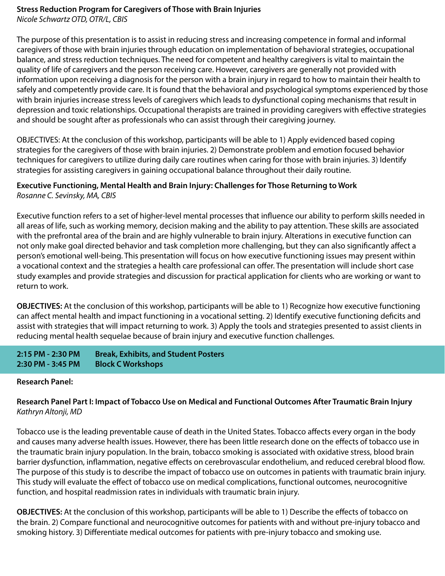### **Stress Reduction Program for Caregivers of Those with Brain Injuries**

*Nicole Schwartz OTD, OTR/L, CBIS*

The purpose of this presentation is to assist in reducing stress and increasing competence in formal and informal caregivers of those with brain injuries through education on implementation of behavioral strategies, occupational balance, and stress reduction techniques. The need for competent and healthy caregivers is vital to maintain the quality of life of caregivers and the person receiving care. However, caregivers are generally not provided with information upon receiving a diagnosis for the person with a brain injury in regard to how to maintain their health to safely and competently provide care. It is found that the behavioral and psychological symptoms experienced by those with brain injuries increase stress levels of caregivers which leads to dysfunctional coping mechanisms that result in depression and toxic relationships. Occupational therapists are trained in providing caregivers with effective strategies and should be sought after as professionals who can assist through their caregiving journey.

OBJECTIVES: At the conclusion of this workshop, participants will be able to 1) Apply evidenced based coping strategies for the caregivers of those with brain injuries. 2) Demonstrate problem and emotion focused behavior techniques for caregivers to utilize during daily care routines when caring for those with brain injuries. 3) Identify strategies for assisting caregivers in gaining occupational balance throughout their daily routine.

#### **Executive Functioning, Mental Health and Brain Injury: Challenges for Those Returning to Work** *Rosanne C. Sevinsky, MA, CBIS*

Executive function refers to a set of higher-level mental processes that influence our ability to perform skills needed in all areas of life, such as working memory, decision making and the ability to pay attention. These skills are associated with the prefrontal area of the brain and are highly vulnerable to brain injury. Alterations in executive function can not only make goal directed behavior and task completion more challenging, but they can also significantly affect a person's emotional well-being. This presentation will focus on how executive functioning issues may present within a vocational context and the strategies a health care professional can offer. The presentation will include short case study examples and provide strategies and discussion for practical application for clients who are working or want to return to work.

**OBJECTIVES:** At the conclusion of this workshop, participants will be able to 1) Recognize how executive functioning can affect mental health and impact functioning in a vocational setting. 2) Identify executive functioning deficits and assist with strategies that will impact returning to work. 3) Apply the tools and strategies presented to assist clients in reducing mental health sequelae because of brain injury and executive function challenges.

**2:15 PM - 2:30 PM Break, Exhibits, and Student Posters 2:30 PM - 3:45 PM Block C Workshops**

#### **Research Panel:**

#### **Research Panel Part I: Impact of Tobacco Use on Medical and Functional Outcomes After Traumatic Brain Injury** *Kathryn Altonji, MD*

Tobacco use is the leading preventable cause of death in the United States. Tobacco affects every organ in the body and causes many adverse health issues. However, there has been little research done on the effects of tobacco use in the traumatic brain injury population. In the brain, tobacco smoking is associated with oxidative stress, blood brain barrier dysfunction, inflammation, negative effects on cerebrovascular endothelium, and reduced cerebral blood flow. The purpose of this study is to describe the impact of tobacco use on outcomes in patients with traumatic brain injury. This study will evaluate the effect of tobacco use on medical complications, functional outcomes, neurocognitive function, and hospital readmission rates in individuals with traumatic brain injury.

**OBJECTIVES:** At the conclusion of this workshop, participants will be able to 1) Describe the effects of tobacco on the brain. 2) Compare functional and neurocognitive outcomes for patients with and without pre-injury tobacco and smoking history. 3) Differentiate medical outcomes for patients with pre-injury tobacco and smoking use.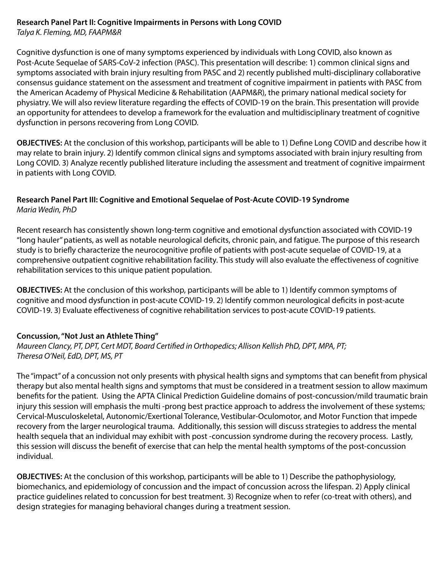#### **Research Panel Part II: Cognitive Impairments in Persons with Long COVID** *Talya K. Fleming, MD, FAAPM&R*

Cognitive dysfunction is one of many symptoms experienced by individuals with Long COVID, also known as Post-Acute Sequelae of SARS-CoV-2 infection (PASC). This presentation will describe: 1) common clinical signs and symptoms associated with brain injury resulting from PASC and 2) recently published multi-disciplinary collaborative consensus guidance statement on the assessment and treatment of cognitive impairment in patients with PASC from the American Academy of Physical Medicine & Rehabilitation (AAPM&R), the primary national medical society for physiatry. We will also review literature regarding the effects of COVID-19 on the brain. This presentation will provide an opportunity for attendees to develop a framework for the evaluation and multidisciplinary treatment of cognitive dysfunction in persons recovering from Long COVID.

**OBJECTIVES:** At the conclusion of this workshop, participants will be able to 1) Define Long COVID and describe how it may relate to brain injury. 2) Identify common clinical signs and symptoms associated with brain injury resulting from Long COVID. 3) Analyze recently published literature including the assessment and treatment of cognitive impairment in patients with Long COVID.

#### **Research Panel Part III: Cognitive and Emotional Sequelae of Post-Acute COVID-19 Syndrome** *Maria Wedin, PhD*

Recent research has consistently shown long-term cognitive and emotional dysfunction associated with COVID-19 "long hauler" patients, as well as notable neurological deficits, chronic pain, and fatigue. The purpose of this research study is to briefly characterize the neurocognitive profile of patients with post-acute sequelae of COVID-19, at a comprehensive outpatient cognitive rehabilitation facility. This study will also evaluate the effectiveness of cognitive rehabilitation services to this unique patient population.

**OBJECTIVES:** At the conclusion of this workshop, participants will be able to 1) Identify common symptoms of cognitive and mood dysfunction in post-acute COVID-19. 2) Identify common neurological deficits in post-acute COVID-19. 3) Evaluate effectiveness of cognitive rehabilitation services to post-acute COVID-19 patients.

#### **Concussion, "Not Just an Athlete Thing"**

*Maureen Clancy, PT, DPT, Cert MDT, Board Certified in Orthopedics; Allison Kellish PhD, DPT, MPA, PT; Theresa O'Neil, EdD, DPT, MS, PT*

The "impact" of a concussion not only presents with physical health signs and symptoms that can benefit from physical therapy but also mental health signs and symptoms that must be considered in a treatment session to allow maximum benefits for the patient. Using the APTA Clinical Prediction Guideline domains of post-concussion/mild traumatic brain injury this session will emphasis the multi -prong best practice approach to address the involvement of these systems; Cervical-Musculoskeletal, Autonomic/Exertional Tolerance, Vestibular-Oculomotor, and Motor Function that impede recovery from the larger neurological trauma. Additionally, this session will discuss strategies to address the mental health sequela that an individual may exhibit with post -concussion syndrome during the recovery process. Lastly, this session will discuss the benefit of exercise that can help the mental health symptoms of the post-concussion individual.

**OBJECTIVES:** At the conclusion of this workshop, participants will be able to 1) Describe the pathophysiology, biomechanics, and epidemiology of concussion and the impact of concussion across the lifespan. 2) Apply clinical practice guidelines related to concussion for best treatment. 3) Recognize when to refer (co-treat with others), and design strategies for managing behavioral changes during a treatment session.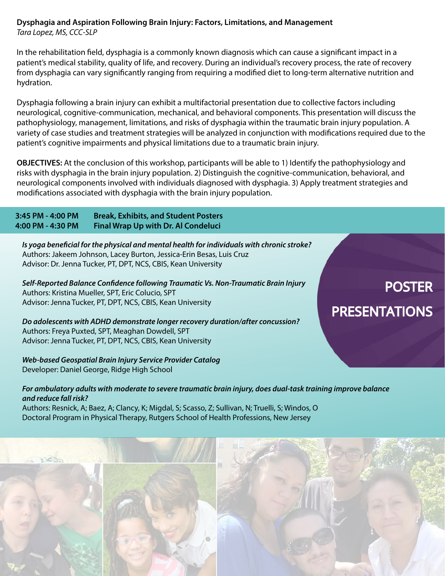#### **Dysphagia and Aspiration Following Brain Injury: Factors, Limitations, and Management** *Tara Lopez, MS, CCC-SLP*

In the rehabilitation field, dysphagia is a commonly known diagnosis which can cause a significant impact in a patient's medical stability, quality of life, and recovery. During an individual's recovery process, the rate of recovery from dysphagia can vary significantly ranging from requiring a modified diet to long-term alternative nutrition and hydration.

Dysphagia following a brain injury can exhibit a multifactorial presentation due to collective factors including neurological, cognitive-communication, mechanical, and behavioral components. This presentation will discuss the pathophysiology, management, limitations, and risks of dysphagia within the traumatic brain injury population. A variety of case studies and treatment strategies will be analyzed in conjunction with modifications required due to the patient's cognitive impairments and physical limitations due to a traumatic brain injury.

**OBJECTIVES:** At the conclusion of this workshop, participants will be able to 1) Identify the pathophysiology and risks with dysphagia in the brain injury population. 2) Distinguish the cognitive-communication, behavioral, and neurological components involved with individuals diagnosed with dysphagia. 3) Apply treatment strategies and modifications associated with dysphagia with the brain injury population.

**3:45 PM - 4:00 PM Break, Exhibits, and Student Posters 4:00 PM - 4:30 PM Final Wrap Up with Dr. Al Condeluci**

*Is yoga beneficial for the physical and mental health for individuals with chronic stroke?* Authors: Jakeem Johnson, Lacey Burton, Jessica-Erin Besas, Luis Cruz Advisor: Dr. Jenna Tucker, PT, DPT, NCS, CBIS, Kean University

*Self-Reported Balance Confidence following Traumatic Vs. Non-Traumatic Brain Injury* Authors: Kristina Mueller, SPT, Eric Colucio, SPT Advisor: Jenna Tucker, PT, DPT, NCS, CBIS, Kean University

*Do adolescents with ADHD demonstrate longer recovery duration/after concussion?*  Authors: Freya Puxted, SPT, Meaghan Dowdell, SPT Advisor: Jenna Tucker, PT, DPT, NCS, CBIS, Kean University

*Web-based Geospatial Brain Injury Service Provider Catalog* Developer: Daniel George, Ridge High School

#### *For ambulatory adults with moderate to severe traumatic brain injury, does dual-task training improve balance and reduce fall risk?*

Authors: Resnick, A; Baez, A; Clancy, K; Migdal, S; Scasso, Z; Sullivan, N; Truelli, S; Windos, O Doctoral Program in Physical Therapy, Rutgers School of Health Professions, New Jersey



# POSTER PRESENTATIONS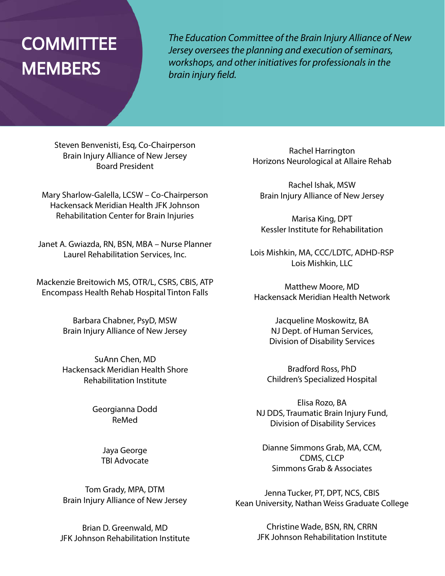# **COMMITTEE MEMBERS**

*The Education Committee of the Brain Injury Alliance of New Jersey oversees the planning and execution of seminars, workshops, and other initiatives for professionals in the brain injury field.*

Steven Benvenisti, Esq, Co-Chairperson Brain Injury Alliance of New Jersey Board President

Mary Sharlow-Galella, LCSW – Co-Chairperson Hackensack Meridian Health JFK Johnson Rehabilitation Center for Brain Injuries

Janet A. Gwiazda, RN, BSN, MBA – Nurse Planner Laurel Rehabilitation Services, Inc.

Mackenzie Breitowich MS, OTR/L, CSRS, CBIS, ATP Encompass Health Rehab Hospital Tinton Falls

> Barbara Chabner, PsyD, MSW Brain Injury Alliance of New Jersey

SuAnn Chen, MD Hackensack Meridian Health Shore Rehabilitation Institute

> Georgianna Dodd ReMed

> > Jaya George TBI Advocate

Tom Grady, MPA, DTM Brain Injury Alliance of New Jersey

Brian D. Greenwald, MD JFK Johnson Rehabilitation Institute

Rachel Harrington Horizons Neurological at Allaire Rehab

Rachel Ishak, MSW Brain Injury Alliance of New Jersey

Marisa King, DPT Kessler Institute for Rehabilitation

Lois Mishkin, MA, CCC/LDTC, ADHD-RSP Lois Mishkin, LLC

Matthew Moore, MD Hackensack Meridian Health Network

> Jacqueline Moskowitz, BA NJ Dept. of Human Services, Division of Disability Services

Bradford Ross, PhD Children's Specialized Hospital

Elisa Rozo, BA NJ DDS, Traumatic Brain Injury Fund, Division of Disability Services

Dianne Simmons Grab, MA, CCM, CDMS, CLCP Simmons Grab & Associates

Jenna Tucker, PT, DPT, NCS, CBIS Kean University, Nathan Weiss Graduate College

> Christine Wade, BSN, RN, CRRN JFK Johnson Rehabilitation Institute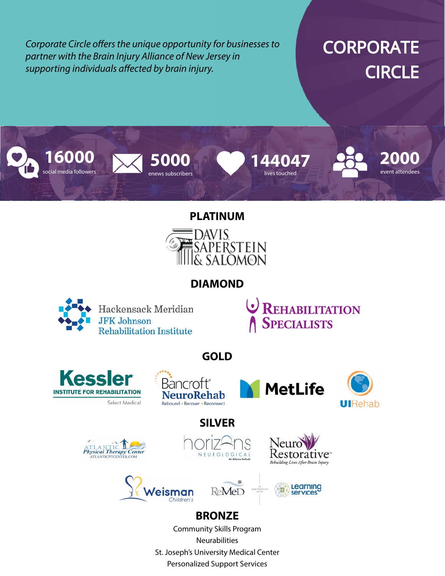*Corporate Circle offers the unique opportunity for businesses to partner with the Brain Injury Alliance of New Jersey in supporting individuals affected by brain injury.*

# **CORPORATE CIRCLE**



#### **PLATINUM**



### **DIAMOND**



**REHABILITATION SPECIALISTS** 

**GOLD**









### **SILVER**















### **BRONZE**

Community Skills Program Neurabilities St. Joseph's University Medical Center Personalized Support Services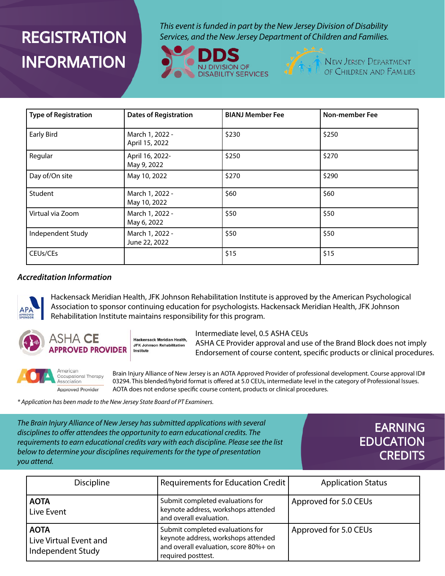# **REGISTRATION INFORMATION**

*This event is funded in part by the New Jersey Division of Disability Services, and the New Jersey Department of Children and Families.* 





**NEW JERSEY DEPARTMENT** OF CHILDREN AND FAMILIES

| <b>Type of Registration</b>       | <b>Dates of Registration</b>      | <b>BIANJ Member Fee</b> | <b>Non-member Fee</b> |
|-----------------------------------|-----------------------------------|-------------------------|-----------------------|
| <b>Early Bird</b>                 | March 1, 2022 -<br>April 15, 2022 | \$230                   | \$250                 |
| Regular                           | April 16, 2022-<br>May 9, 2022    | \$250                   | \$270                 |
| Day of/On site                    | May 10, 2022                      | \$270                   | \$290                 |
| Student                           | March 1, 2022 -<br>May 10, 2022   | \$60                    | \$60                  |
| Virtual via Zoom                  | March 1, 2022 -<br>May 6, 2022    | \$50                    | \$50                  |
| Independent Study                 | March 1, 2022 -<br>June 22, 2022  | \$50                    | \$50                  |
| CEU <sub>s</sub> /CE <sub>s</sub> |                                   | \$15                    | \$15                  |

#### *Accreditation Information*



Hackensack Meridian Health, JFK Johnson Rehabilitation Institute is approved by the American Psychological Association to sponsor continuing education for psychologists. Hackensack Meridian Health, JFK Johnson Rehabilitation Institute maintains responsibility for this program.



Hackensack Meridian Health. **JFK Johnson Rehabilitation APPROVED PROVIDER** Institute

Intermediate level, 0.5 ASHA CEUs

ASHA CE Provider approval and use of the Brand Block does not imply Endorsement of course content, specific products or clinical procedures.



Brain Injury Alliance of New Jersey is an AOTA Approved Provider of professional development. Course approval ID# 03294. This blended/hybrid format is offered at 5.0 CEUs, intermediate level in the category of Professional Issues. AOTA does not endorse specific course content, products or clinical procedures.

*\* Application has been made to the New Jersey State Board of PT Examiners.*

*The Brain Injury Alliance of New Jersey has submitted applications with several disciplines to offer attendees the opportunity to earn educational credits. The requirements to earn educational credits vary with each discipline. Please see the list below to determine your disciplines requirements for the type of presentation you attend.*

### EARNING **EDUCATION CREDITS**

| <b>Discipline</b>                                          | Requirements for Education Credit                                                                                                      | <b>Application Status</b> |
|------------------------------------------------------------|----------------------------------------------------------------------------------------------------------------------------------------|---------------------------|
| <b>AOTA</b><br>Live Event                                  | Submit completed evaluations for<br>keynote address, workshops attended<br>and overall evaluation.                                     | Approved for 5.0 CEUs     |
| <b>AOTA</b><br>Live Virtual Event and<br>Independent Study | Submit completed evaluations for<br>keynote address, workshops attended<br>and overall evaluation, score 80%+ on<br>required posttest. | Approved for 5.0 CEUs     |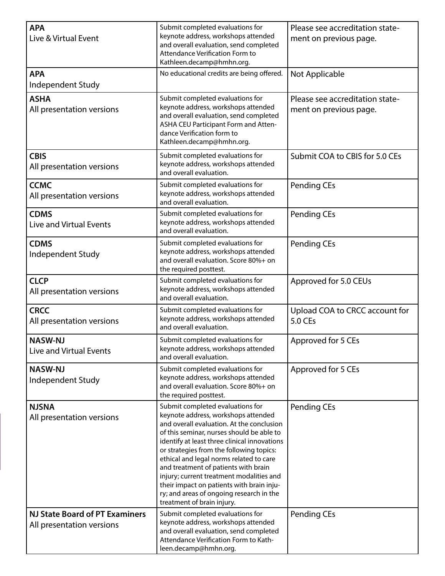| <b>APA</b><br>Live & Virtual Event                                 | Submit completed evaluations for<br>keynote address, workshops attended<br>and overall evaluation, send completed<br>Attendance Verification Form to<br>Kathleen.decamp@hmhn.org.                                                                                                                                                                                                                                                                                                                                   | Please see accreditation state-<br>ment on previous page. |
|--------------------------------------------------------------------|---------------------------------------------------------------------------------------------------------------------------------------------------------------------------------------------------------------------------------------------------------------------------------------------------------------------------------------------------------------------------------------------------------------------------------------------------------------------------------------------------------------------|-----------------------------------------------------------|
| <b>APA</b><br>Independent Study                                    | No educational credits are being offered.                                                                                                                                                                                                                                                                                                                                                                                                                                                                           | Not Applicable                                            |
| <b>ASHA</b><br>All presentation versions                           | Submit completed evaluations for<br>keynote address, workshops attended<br>and overall evaluation, send completed<br>ASHA CEU Participant Form and Atten-<br>dance Verification form to<br>Kathleen.decamp@hmhn.org.                                                                                                                                                                                                                                                                                                | Please see accreditation state-<br>ment on previous page. |
| <b>CBIS</b><br>All presentation versions                           | Submit completed evaluations for<br>keynote address, workshops attended<br>and overall evaluation.                                                                                                                                                                                                                                                                                                                                                                                                                  | Submit COA to CBIS for 5.0 CEs                            |
| <b>CCMC</b><br>All presentation versions                           | Submit completed evaluations for<br>keynote address, workshops attended<br>and overall evaluation.                                                                                                                                                                                                                                                                                                                                                                                                                  | <b>Pending CEs</b>                                        |
| <b>CDMS</b><br><b>Live and Virtual Events</b>                      | Submit completed evaluations for<br>keynote address, workshops attended<br>and overall evaluation.                                                                                                                                                                                                                                                                                                                                                                                                                  | <b>Pending CEs</b>                                        |
| <b>CDMS</b><br>Independent Study                                   | Submit completed evaluations for<br>keynote address, workshops attended<br>and overall evaluation. Score 80%+ on<br>the required posttest.                                                                                                                                                                                                                                                                                                                                                                          | <b>Pending CEs</b>                                        |
| <b>CLCP</b><br>All presentation versions                           | Submit completed evaluations for<br>keynote address, workshops attended<br>and overall evaluation.                                                                                                                                                                                                                                                                                                                                                                                                                  | Approved for 5.0 CEUs                                     |
| <b>CRCC</b><br>All presentation versions                           | Submit completed evaluations for<br>keynote address, workshops attended<br>and overall evaluation.                                                                                                                                                                                                                                                                                                                                                                                                                  | Upload COA to CRCC account for<br>5.0 CEs                 |
| <b>NASW-NJ</b><br><b>Live and Virtual Events</b>                   | Submit completed evaluations for<br>keynote address, workshops attended<br>and overall evaluation.                                                                                                                                                                                                                                                                                                                                                                                                                  | Approved for 5 CEs                                        |
| <b>NASW-NJ</b><br>Independent Study                                | Submit completed evaluations for<br>keynote address, workshops attended<br>and overall evaluation. Score 80%+ on<br>the required posttest.                                                                                                                                                                                                                                                                                                                                                                          | Approved for 5 CEs                                        |
| <b>NJSNA</b><br>All presentation versions                          | Submit completed evaluations for<br>keynote address, workshops attended<br>and overall evaluation. At the conclusion<br>of this seminar, nurses should be able to<br>identify at least three clinical innovations<br>or strategies from the following topics:<br>ethical and legal norms related to care<br>and treatment of patients with brain<br>injury; current treatment modalities and<br>their impact on patients with brain inju-<br>ry; and areas of ongoing research in the<br>treatment of brain injury. | Pending CEs                                               |
| <b>NJ State Board of PT Examiners</b><br>All presentation versions | Submit completed evaluations for<br>keynote address, workshops attended<br>and overall evaluation, send completed<br>Attendance Verification Form to Kath-<br>leen.decamp@hmhn.org.                                                                                                                                                                                                                                                                                                                                 | <b>Pending CEs</b>                                        |